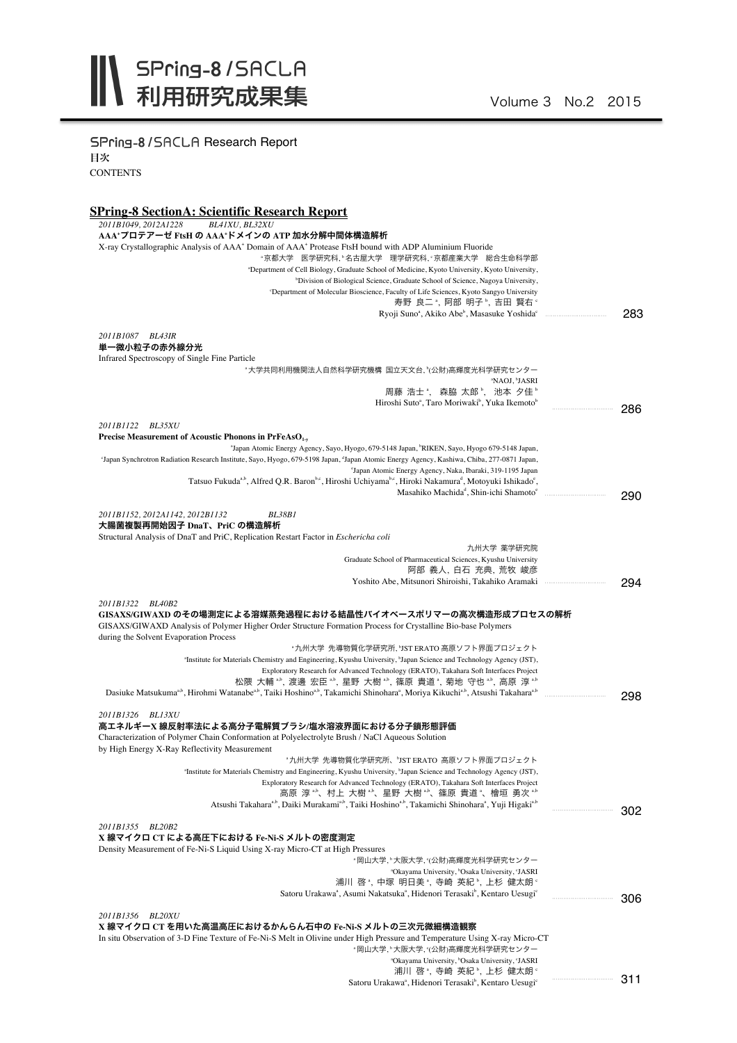SPring-8/SACLA Research Report 目次 **CONTENTS** 

## **SPring-8 SectionA: Scientific Research Report**

| 2011B1049, 2012A1228<br>BL41XU, BL32XU                                                                                                                                                                                                     |     |
|--------------------------------------------------------------------------------------------------------------------------------------------------------------------------------------------------------------------------------------------|-----|
| AAA゙プロテアーゼ FtsH の AAA゙ドメインの ATP 加水分解中間体構造解析                                                                                                                                                                                                |     |
| X-ray Crystallographic Analysis of AAA <sup>+</sup> Domain of AAA <sup>+</sup> Protease FtsH bound with ADP Aluminium Fluoride                                                                                                             |     |
| "京都大学 医学研究科,"名古屋大学 理学研究科,"京都産業大学 総合生命科学部                                                                                                                                                                                                   |     |
| "Department of Cell Biology, Graduate School of Medicine, Kyoto University, Kyoto University,                                                                                                                                              |     |
| <sup>b</sup> Division of Biological Science, Graduate School of Science, Nagoya University,                                                                                                                                                |     |
| <sup>c</sup> Department of Molecular Bioscience, Faculty of Life Sciences, Kyoto Sangyo University                                                                                                                                         |     |
| 寿野 良二 ゚, 阿部 明子 ゚, 吉田 賢右 ゚                                                                                                                                                                                                                  |     |
| Ryoji Suno <sup>a</sup> , Akiko Abe <sup>b</sup> , Masasuke Yoshida <sup>c</sup>                                                                                                                                                           | 283 |
| 2011B1087 BL43IR                                                                                                                                                                                                                           |     |
| 単一微小粒子の赤外線分光                                                                                                                                                                                                                               |     |
| Infrared Spectroscopy of Single Fine Particle                                                                                                                                                                                              |     |
| "大学共同利用機関法人自然科学研究機構 国立天文台,"(公財)高輝度光科学研究センター                                                                                                                                                                                                |     |
| <sup>a</sup> NAOJ, <sup>b</sup> JASRI                                                                                                                                                                                                      |     |
| 周藤 浩士 ", 森脇 太郎 ", 池本 夕佳 "                                                                                                                                                                                                                  |     |
| Hiroshi Suto <sup>a</sup> , Taro Moriwaki <sup>b</sup> , Yuka Ikemoto <sup>b</sup>                                                                                                                                                         | 286 |
|                                                                                                                                                                                                                                            |     |
| 2011B1122 BL35XU                                                                                                                                                                                                                           |     |
| Precise Measurement of Acoustic Phonons in PrFeAs $O_{1-x}$                                                                                                                                                                                |     |
| "Japan Atomic Energy Agency, Sayo, Hyogo, 679-5148 Japan, "RIKEN, Sayo, Hyogo 679-5148 Japan,                                                                                                                                              |     |
| 'Japan Synchrotron Radiation Research Institute, Sayo, Hyogo, 679-5198 Japan, 'Japan Atomic Energy Agency, Kashiwa, Chiba, 277-0871 Japan,<br>'Japan Atomic Energy Agency, Naka, Ibaraki, 319-1195 Japan                                   |     |
| Tatsuo Fukuda <sup>a,b</sup> , Alfred Q.R. Baron <sup>b,c</sup> , Hiroshi Uchiyama <sup>b,c</sup> , Hiroki Nakamura <sup>d</sup> , Motoyuki Ishikado <sup>c</sup> ,                                                                        |     |
| Masahiko Machida <sup>ª</sup> , Shin-ichi Shamoto <sup>e</sup>                                                                                                                                                                             |     |
|                                                                                                                                                                                                                                            | 290 |
| 2011B1152, 2012A1142, 2012B1132<br><b>BL38B1</b>                                                                                                                                                                                           |     |
| 大腸菌複製再開始因子 DnaT、PriC の構造解析                                                                                                                                                                                                                 |     |
| Structural Analysis of DnaT and PriC, Replication Restart Factor in <i>Eschericha coli</i>                                                                                                                                                 |     |
| 九州大学 薬学研究院                                                                                                                                                                                                                                 |     |
| Graduate School of Pharmaceutical Sciences, Kyushu University                                                                                                                                                                              |     |
| 阿部 義人, 白石 充典, 荒牧 峻彦                                                                                                                                                                                                                        |     |
| Yoshito Abe, Mitsunori Shiroishi, Takahiko Aramaki                                                                                                                                                                                         | 294 |
|                                                                                                                                                                                                                                            |     |
| 2011B1322 BL40B2<br>GISAXS/GIWAXD のその場測定による溶媒蒸発過程における結晶性バイオベースポリマーの高次構造形成プロセスの解析<br>GISAXS/GIWAXD Analysis of Polymer Higher Order Structure Formation Process for Crystalline Bio-base Polymers<br>during the Solvent Evaporation Process |     |
| *九州大学 先導物質化学研究所, 『JST ERATO 高原ソフト界面プロジェクト                                                                                                                                                                                                  |     |
| <sup>a</sup> Institute for Materials Chemistry and Engineering, Kyushu University, <sup>b</sup> Japan Science and Technology Agency (JST),                                                                                                 |     |
| Exploratory Research for Advanced Technology (ERATO), Takahara Soft Interfaces Project                                                                                                                                                     |     |
| 松隈 大輔 *^, 渡邊 宏臣 *^, 星野 大樹 *^, 篠原 貴道 *, 菊地 守也 *^, 高原 淳 *^                                                                                                                                                                                   |     |
| Dasiuke Matsukuma <sup>a,b</sup> , Hirohmi Watanabe <sup>a,b</sup> , Taiki Hoshino <sup>a,b</sup> , Takamichi Shinohara <sup>a</sup> , Moriya Kikuchi <sup>a,b</sup> , Atsushi Takahara <sup>a,b</sup>                                     | 298 |
| 2011B1326 BL13XU                                                                                                                                                                                                                           |     |
| 高エネルギーX 線反射率法による高分子電解質ブラシ/塩水溶液界面における分子鎖形態評価<br>Characterization of Polymer Chain Conformation at Polyelectrolyte Brush / NaCl Aqueous Solution                                                                                             |     |
| by High Energy X-Ray Reflectivity Measurement                                                                                                                                                                                              |     |
| "九州大学 先導物質化学研究所、"JSTERATO 高原ソフト界面プロジェクト<br>"Institute for Materials Chemistry and Engineering, Kyushu University, "Japan Science and Technology Agency (JST).                                                                              |     |
| Exploratory Research for Advanced Technology (ERATO), Takahara Soft Interfaces Project                                                                                                                                                     |     |
| 高原 淳 *゚、村上 大樹 *゚、星野 大樹 *゚、篠原 貴道 ゚、檜垣 勇次 *゚                                                                                                                                                                                                 |     |
| Atsushi Takahara <sup>a,b</sup> , Daiki Murakami <sup>a,b</sup> , Taiki Hoshino <sup>a,b</sup> , Takamichi Shinohara <sup>a</sup> , Yuji Higaki <sup>a,b</sup>                                                                             |     |
| 2011B1355 BL20B2<br>X 線マイクロ CT による高圧下における Fe-Ni-S メルトの密度測定                                                                                                                                                                                 | 302 |
| Density Measurement of Fe-Ni-S Liquid Using X-ray Micro-CT at High Pressures                                                                                                                                                               |     |
| "岡山大学,"大阪大学,"(公財)高輝度光科学研究センター                                                                                                                                                                                                              |     |
| "Okayama University, "Osaka University, 'JASRI                                                                                                                                                                                             |     |
| 浦川 啓 *, 中塚 明日美 *, 寺崎 英紀 *, 上杉 健太朗 *                                                                                                                                                                                                        |     |
| Satoru Urakawa <sup>ª</sup> , Asumi Nakatsuka <sup>ª</sup> , Hidenori Terasaki <sup>b</sup> , Kentaro Uesugi <sup>e</sup>                                                                                                                  | 306 |
|                                                                                                                                                                                                                                            |     |
| 2011B1356<br><b>BL20XU</b>                                                                                                                                                                                                                 |     |
| X 線マイクロ CT を用いた高温高圧におけるかんらん石中の Fe-Ni-S メルトの三次元微細構造観察                                                                                                                                                                                       |     |
| In situ Observation of 3-D Fine Texture of Fe-Ni-S Melt in Olivine under High Pressure and Temperature Using X-ray Micro-CT                                                                                                                |     |
| "岡山大学,"大阪大学,"(公財)高輝度光科学研究センター                                                                                                                                                                                                              |     |
| "Okayama University, "Osaka University, 'JASRI<br>浦川 啓 *, 寺崎 英紀 *, 上杉 健太朗 *                                                                                                                                                                |     |

Satoru Urakawa<sup>a</sup>, Hidenori Terasaki<sup>b</sup>, Kentaro Uesugi<sup>e</sup>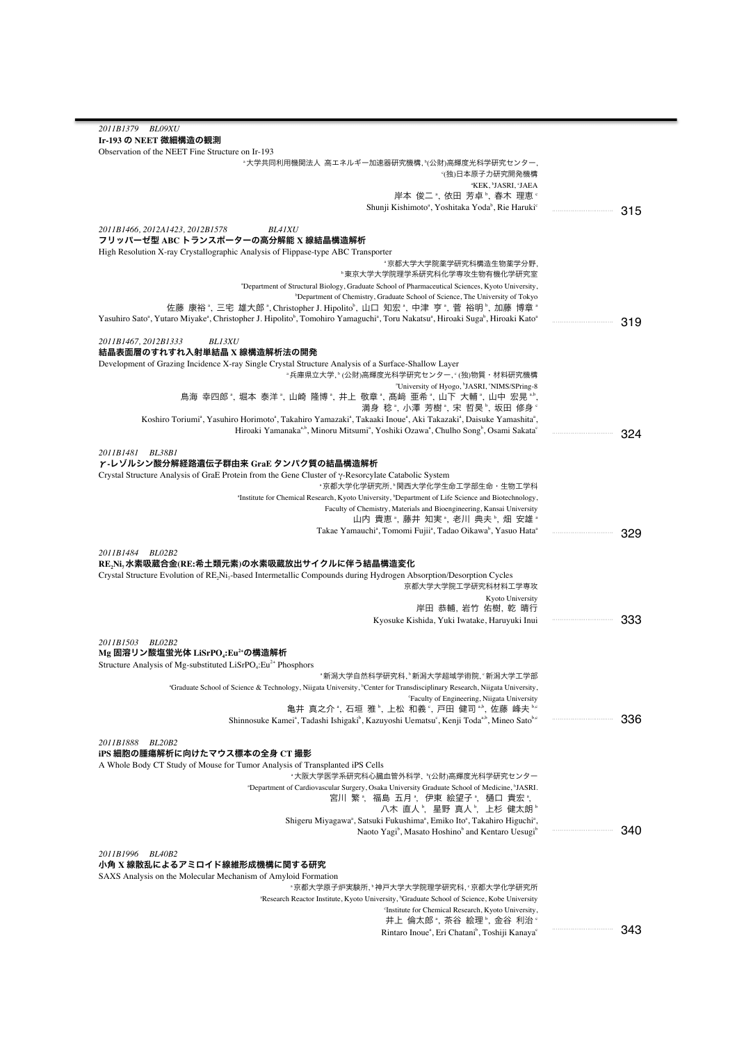| 2011B1379 BL09XU                                                                                                                                                                                                     |         |
|----------------------------------------------------------------------------------------------------------------------------------------------------------------------------------------------------------------------|---------|
| Ir-193 の NEET 微細構造の観測                                                                                                                                                                                                |         |
| Observation of the NEET Fine Structure on Ir-193                                                                                                                                                                     |         |
| ≞大学共同利用機関法人 高エネルギー加速器研究機構,ʰ(公財)高輝度光科学研究センター,                                                                                                                                                                         |         |
| ງ(独)日本原子力研究開発機構                                                                                                                                                                                                      |         |
| <b>"KEK, "JASRI, 'JAEA</b><br>岸本 俊二 ª, 依田 芳卓 <sup>ь</sup> , 春木 理恵 <sup>。</sup>                                                                                                                                       |         |
| Shunji Kishimoto <sup>a</sup> , Yoshitaka Yoda <sup>b</sup> , Rie Haruki <sup>c</sup>                                                                                                                                |         |
|                                                                                                                                                                                                                      | 315     |
| 2011B1466, 2012A1423, 2012B1578<br><b>BL41XU</b>                                                                                                                                                                     |         |
| フリッパーゼ型 ABC トランスポーターの高分解能 X 線結晶構造解析                                                                                                                                                                                  |         |
| High Resolution X-ray Crystallographic Analysis of Flippase-type ABC Transporter                                                                                                                                     |         |
| "京都大学大学院薬学研究科構造生物薬学分野,                                                                                                                                                                                               |         |
| "東京大学大学院理学系研究科化学専攻生物有機化学研究室                                                                                                                                                                                          |         |
| "Department of Structural Biology, Graduate School of Pharmaceutical Sciences, Kyoto University,<br><sup>b</sup> Department of Chemistry, Graduate School of Science, The University of Tokyo                        |         |
| 佐藤 康裕", 三宅 雄大郎",Christopher J.Hipolito", 山口 知宏", 中津 亨", 菅 裕明", 加藤 博章"                                                                                                                                                |         |
| Yasuhiro Sato <sup>a</sup> , Yutaro Miyake <sup>a</sup> , Christopher J. Hipolito <sup>b</sup> , Tomohiro Yamaguchi <sup>a</sup> , Toru Nakatsu <sup>a</sup> , Hiroaki Suga <sup>b</sup> , Hiroaki Kato <sup>a</sup> | 319     |
|                                                                                                                                                                                                                      |         |
| 2011B1467, 2012B1333<br><b>BL13XU</b>                                                                                                                                                                                |         |
| 結晶表面層のすれすれ入射単結晶 X 線構造解析法の開発                                                                                                                                                                                          |         |
| Development of Grazing Incidence X-ray Single Crystal Structure Analysis of a Surface-Shallow Layer                                                                                                                  |         |
| <sup>。</sup> 兵庫県立大学、(公財)高輝度光科学研究センター、(独)物質·材料研究機構                                                                                                                                                                    |         |
| <sup>a</sup> University of Hyogo, <sup>b</sup> JASRI, 'NIMS/SPring-8<br>鳥海 幸四郎 ", 堀本 泰洋 ", 山崎 隆博 ", 井上 敬章 ", 髙﨑 亜希 ", 山下 大輔 ", 山中 宏晃 " ",                                                                            |         |
| 満身 稔 *, 小澤 芳樹 *, 宋 哲昊 <sup></sup> , 坂田 修身 <sup>。</sup>                                                                                                                                                               |         |
| Koshiro Toriumi <sup>a</sup> , Yasuhiro Horimoto <sup>a</sup> , Takahiro Yamazaki <sup>a</sup> , Takaaki Inoue <sup>a</sup> , Aki Takazaki <sup>a</sup> , Daisuke Yamashita <sup>a</sup> ,                           |         |
| Hiroaki Yamanaka <sup>a,b</sup> , Minoru Mitsumi <sup>a</sup> , Yoshiki Ozawa <sup>a</sup> , Chulho Song <sup>b</sup> , Osami Sakata <sup>c</sup>                                                                    | 324     |
|                                                                                                                                                                                                                      |         |
| 2011B1481<br>BL38B1                                                                                                                                                                                                  |         |
| γ-レゾルシン酸分解経路遺伝子群由来 GraE タンパク質の結晶構造解析                                                                                                                                                                                 |         |
| Crystal Structure Analysis of GraE Protein from the Gene Cluster of $\gamma$ -Resorcylate Catabolic System<br>"京都大学化学研究所, "関西大学化学生命工学部生命・生物工学科                                                                       |         |
| <sup>a</sup> Institute for Chemical Research, Kyoto University, <sup>b</sup> Department of Life Science and Biotechnology,                                                                                           |         |
| Faculty of Chemistry, Materials and Bioengineering, Kansai University                                                                                                                                                |         |
| 山内 貴恵 ゚, 藤井 知実 ゚, 老川 典夫 ゚, 畑 安雄 ゚                                                                                                                                                                                    |         |
| Takae Yamauchi <sup>a</sup> , Tomomi Fujii <sup>a</sup> , Tadao Oikawa <sup>b</sup> , Yasuo Hata <sup>a</sup>                                                                                                        | <br>329 |
|                                                                                                                                                                                                                      |         |
| 2011B1484 BL02B2                                                                                                                                                                                                     |         |
| RE,Ni,水素吸蔵合金(RE:希土類元素)の水素吸蔵放出サイクルに伴う結晶構造変化<br>Crystal Structure Evolution of RE <sub>2</sub> Ni <sub>7</sub> -based Intermetallic Compounds during Hydrogen Absorption/Desorption Cycles                             |         |
| 京都大学大学院工学研究科材料工学専攻                                                                                                                                                                                                   |         |
| Kyoto University                                                                                                                                                                                                     |         |
| 岸田 恭輔、岩竹 佑樹、乾 晴行                                                                                                                                                                                                     |         |
| Kyosuke Kishida, Yuki Iwatake, Haruyuki Inui                                                                                                                                                                         | 333     |
|                                                                                                                                                                                                                      |         |
| 2011B1503 BL02B2<br>Mg 固溶リン酸塩蛍光体 LiSrPO <sub>4</sub> :Eu <sup>2+</sup> の構造解析                                                                                                                                         |         |
| Structure Analysis of Mg-substituted LiSrPO <sub>4</sub> :Eu <sup>2+</sup> Phosphors                                                                                                                                 |         |
| "新潟大学自然科学研究科,"新潟大学超域学術院,"新潟大学工学部                                                                                                                                                                                     |         |
| "Graduate School of Science & Technology, Niigata University, "Center for Transdisciplinary Research, Niigata University,                                                                                            |         |
| 'Faculty of Engineering, Niigata University                                                                                                                                                                          |         |
| 亀井 真之介 *, 石垣 雅 b, 上松 和義 *, 戸田 健司 *b, 佐藤 峰夫 be                                                                                                                                                                        |         |
| Shinnosuke Kamei <sup>a</sup> , Tadashi Ishigaki <sup>b</sup> , Kazuyoshi Uematsu <sup>c</sup> , Kenji Toda <sup>a,b</sup> , Mineo Sato <sup>b,c</sup>                                                               | 336     |
|                                                                                                                                                                                                                      |         |
| 2011B1888<br>BL20B2<br>iPS 細胞の腫瘍解析に向けたマウス標本の全身 CT 撮影                                                                                                                                                                 |         |
| A Whole Body CT Study of Mouse for Tumor Analysis of Transplanted iPS Cells                                                                                                                                          |         |
| "大阪大学医学系研究科心臓血管外科学, "(公財)高輝度光科学研究センター                                                                                                                                                                                |         |
| "Department of Cardiovascular Surgery, Osaka University Graduate School of Medicine, <sup>b</sup> JASRI.                                                                                                             |         |
| 宮川 繁*,福島 五月*,伊東 絵望子*,樋口 貴宏*,                                                                                                                                                                                         |         |
| 八木 直人",星野 真人",上杉 健太朗"                                                                                                                                                                                                |         |
| Shigeru Miyagawa <sup>a</sup> , Satsuki Fukushima <sup>a</sup> , Emiko Ito <sup>a</sup> , Takahiro Higuchi <sup>a</sup> ,                                                                                            |         |
| Naoto Yagi <sup>b</sup> , Masato Hoshino <sup>b</sup> and Kentaro Uesugi <sup>b</sup>                                                                                                                                | 340     |
| 2011B1996 BL40B2                                                                                                                                                                                                     |         |
| 小角 X 線散乱によるアミロイド線維形成機構に関する研究                                                                                                                                                                                         |         |
| SAXS Analysis on the Molecular Mechanism of Amyloid Formation                                                                                                                                                        |         |
| "京都大学原子炉実験所, "神戸大学大学院理学研究科, ' 京都大学化学研究所                                                                                                                                                                              |         |
| "Research Reactor Institute, Kyoto University, "Graduate School of Science, Kobe University                                                                                                                          |         |
| 'Institute for Chemical Research, Kyoto University,                                                                                                                                                                  |         |
| 井上 倫太郎 *, 茶谷 絵理 <sup>b</sup> , 金谷 利治 <sup>e</sup><br>Rintaro Inoue <sup>a</sup> , Eri Chatani <sup>b</sup> , Toshiji Kanaya <sup>c</sup>                                                                             | 343<br> |
|                                                                                                                                                                                                                      |         |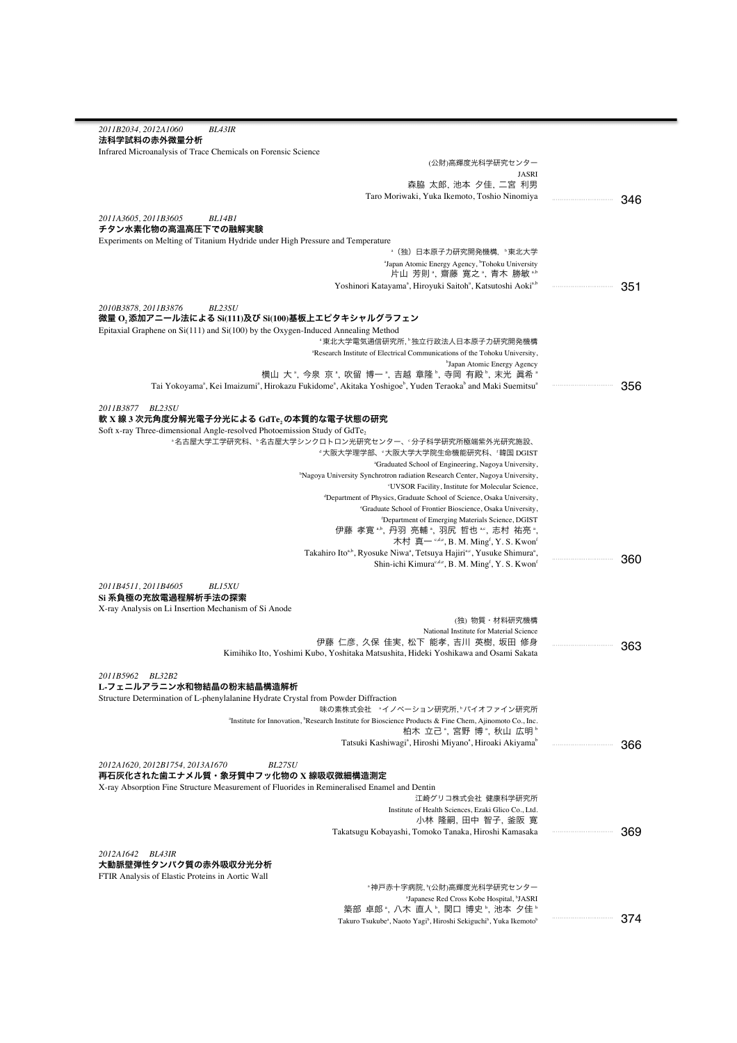| 2011B2034, 2012A1060<br><b>BL43IR</b>                                                                                                                     |         |  |
|-----------------------------------------------------------------------------------------------------------------------------------------------------------|---------|--|
| 法科学試料の赤外微量分析                                                                                                                                              |         |  |
| Infrared Microanalysis of Trace Chemicals on Forensic Science                                                                                             |         |  |
| (公財)高輝度光科学研究センター<br><b>JASRI</b>                                                                                                                          |         |  |
| 森脇 太郎, 池本 夕佳, 二宮 利男                                                                                                                                       |         |  |
| Taro Moriwaki, Yuka Ikemoto, Toshio Ninomiya                                                                                                              |         |  |
|                                                                                                                                                           | 346     |  |
| 2011A3605, 2011B3605<br>BL14B1                                                                                                                            |         |  |
| チタン水素化物の高温高圧下での融解実験                                                                                                                                       |         |  |
| Experiments on Melting of Titanium Hydride under High Pressure and Temperature                                                                            |         |  |
| *(独)日本原子力研究開発機構,〝東北大学                                                                                                                                     |         |  |
| "Japan Atomic Energy Agency, "Tohoku University<br>片山 芳則 *, 齋藤 寛之 *, 青木 勝敏 *.b                                                                            |         |  |
| Yoshinori Katayama <sup>a</sup> , Hiroyuki Saitoh <sup>a</sup> , Katsutoshi Aoki <sup>a,b</sup>                                                           | 351<br> |  |
|                                                                                                                                                           |         |  |
| 2010B3878, 2011B3876<br><b>BL23SU</b>                                                                                                                     |         |  |
| 微量 O,添加アニール法による Si(111)及び Si(100)基板上エピタキシャルグラフェン                                                                                                          |         |  |
| Epitaxial Graphene on $Si(111)$ and $Si(100)$ by the Oxygen-Induced Annealing Method                                                                      |         |  |
| "東北大学電気通信研究所,"独立行政法人日本原子力研究開発機構<br>"Research Institute of Electrical Communications of the Tohoku University,                                             |         |  |
| <sup>b</sup> Japan Atomic Energy Agency                                                                                                                   |         |  |
| 横山 大", 今泉 京", 吹留 博一", 吉越 章隆", 寺岡 有殿", 末光 眞希"                                                                                                              |         |  |
| Tai Yokoyama <sup>ª</sup> , Kei Imaizumi <sup>ª</sup> , Hirokazu Fukidomeª, Akitaka Yoshigoe <sup>b</sup> , Yuden Teraokab and Maki Suemitsu <sup>ª</sup> | <br>356 |  |
|                                                                                                                                                           |         |  |
| 2011B3877 BL23SU                                                                                                                                          |         |  |
| 軟 X 線 3 次元角度分解光電子分光による GdTe,の本質的な電子状態の研究                                                                                                                  |         |  |
| Soft x-ray Three-dimensional Angle-resolved Photoemission Study of GdTe,                                                                                  |         |  |
| "名古屋大学工学研究科、"名古屋大学シンクロトロン光研究センター、"分子科学研究所極端紫外光研究施設、<br>"大阪大学理学部、"大阪大学大学院生命機能研究科、'韓国 DGIST                                                                 |         |  |
| <sup>a</sup> Graduated School of Engineering, Nagoya University,                                                                                          |         |  |
| <sup>b</sup> Nagoya University Synchrotron radiation Research Center, Nagoya University,                                                                  |         |  |
| 'UVSOR Facility, Institute for Molecular Science,                                                                                                         |         |  |
| <sup>d</sup> Department of Physics, Graduate School of Science, Osaka University,                                                                         |         |  |
| 'Graduate School of Frontier Bioscience, Osaka University,                                                                                                |         |  |
| <sup>f</sup> Department of Emerging Materials Science, DGIST                                                                                              |         |  |
| 伊藤 孝寛", 丹羽 亮輔", 羽尻 哲也", 志村 祐亮",<br>木村 真- <sup>c,d,e</sup> , B. M. Ming <sup>f</sup> , Y. S. Kwon <sup>f</sup>                                             |         |  |
| Takahiro Ito <sup>a,b</sup> , Ryosuke Niwa <sup>a</sup> , Tetsuya Hajiri <sup>a,c</sup> , Yusuke Shimura <sup>a</sup> ,                                   |         |  |
| Shin-ichi Kimura <sup>c,d,e</sup> , B. M. Ming <sup>f</sup> , Y. S. Kwon <sup>f</sup>                                                                     | 360     |  |
|                                                                                                                                                           |         |  |
| 2011B4511, 2011B4605<br><b>BL15XU</b>                                                                                                                     |         |  |
| Si 系負極の充放電過程解析手法の探索                                                                                                                                       |         |  |
| X-ray Analysis on Li Insertion Mechanism of Si Anode                                                                                                      |         |  |
| (独) 物質・材料研究機構<br>National Institute for Material Science                                                                                                  |         |  |
| 伊藤 仁彦, 久保 佳実, 松下 能孝, 吉川 英樹, 坂田 修身                                                                                                                         |         |  |
| Kimihiko Ito, Yoshimi Kubo, Yoshitaka Matsushita, Hideki Yoshikawa and Osami Sakata                                                                       | 363     |  |
|                                                                                                                                                           |         |  |
| 2011B5962<br>BL32B2                                                                                                                                       |         |  |
| L-フェニルアラニン水和物結晶の粉末結晶構造解析                                                                                                                                  |         |  |
| Structure Determination of L-phenylalanine Hydrate Crystal from Powder Diffraction                                                                        |         |  |
| 味の素株式会社 "イノベーション研究所、"バイオファイン研究所                                                                                                                           |         |  |
| "Institute for Innovation, "Research Institute for Bioscience Products & Fine Chem, Ajinomoto Co., Inc.<br>柏木 立己 ", 宮野 博 ", 秋山 広明 "                       |         |  |
| Tatsuki Kashiwagi <sup>a</sup> , Hiroshi Miyano <sup>a</sup> , Hiroaki Akiyama <sup>o</sup>                                                               | <br>366 |  |
|                                                                                                                                                           |         |  |
| 2012A1620, 2012B1754, 2013A1670<br>BL27SU                                                                                                                 |         |  |
| 再石灰化された歯エナメル質・象牙質中フッ化物の X 線吸収微細構造測定                                                                                                                       |         |  |
| X-ray Absorption Fine Structure Measurement of Fluorides in Remineralised Enamel and Dentin                                                               |         |  |
| 江崎グリコ株式会社 健康科学研究所                                                                                                                                         |         |  |
| Institute of Health Sciences, Ezaki Glico Co., Ltd.<br>小林 隆嗣, 田中 智子, 釜阪 寛                                                                                 |         |  |
| Takatsugu Kobayashi, Tomoko Tanaka, Hiroshi Kamasaka                                                                                                      | 369     |  |
|                                                                                                                                                           |         |  |
| 2012A1642 BL43IR                                                                                                                                          |         |  |
| 大動脈壁弾性タンパク質の赤外吸収分光分析                                                                                                                                      |         |  |
| FTIR Analysis of Elastic Proteins in Aortic Wall                                                                                                          |         |  |
| ◦神戸赤十字病院, ʰ(公財)高輝度光科学研究センター                                                                                                                               |         |  |
| "Japanese Red Cross Kobe Hospital, <sup>b</sup> JASRI                                                                                                     |         |  |
| 築部 卓郎 ª, 八木 直人 º, 関口 博史 º, 池本 夕佳 º<br>Takuro Tsukube <sup>ª</sup> , Naoto Yagi <sup>b</sup> , Hiroshi Sekiguchi <sup>b</sup> , Yuka Ikemoto <sup>b</sup>  | 374     |  |
|                                                                                                                                                           |         |  |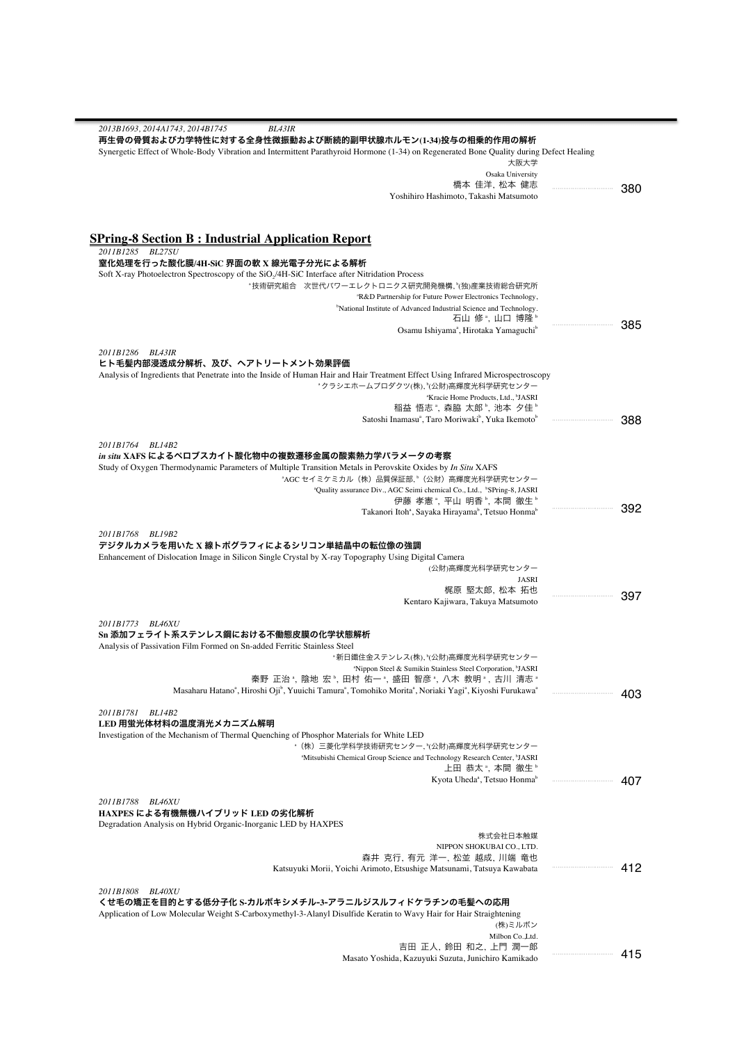| 2013B1693, 2014A1743, 2014B1745<br><b>BL43IR</b><br>再生骨の骨質および力学特性に対する全身性微振動および断続的副甲状腺ホルモン(1-34)投与の相乗的作用の解析                                                                       |     |     |
|----------------------------------------------------------------------------------------------------------------------------------------------------------------------------------|-----|-----|
| Synergetic Effect of Whole-Body Vibration and Intermittent Parathyroid Hormone (1-34) on Regenerated Bone Quality during Defect Healing                                          |     |     |
| 大阪大学                                                                                                                                                                             |     |     |
| Osaka University<br>橋本 佳洋、松本 健志                                                                                                                                                  |     |     |
| Yoshihiro Hashimoto, Takashi Matsumoto                                                                                                                                           |     | 380 |
|                                                                                                                                                                                  |     |     |
| <b>SPring-8 Section B: Industrial Application Report</b>                                                                                                                         |     |     |
| 2011B1285 BL27SU                                                                                                                                                                 |     |     |
| 窒化処理を行った酸化膜/4H-SiC 界面の軟 X 線光電子分光による解析                                                                                                                                            |     |     |
| Soft X-ray Photoelectron Spectroscopy of the SiO <sub>2</sub> /4H-SiC Interface after Nitridation Process                                                                        |     |     |
| *技術研究組合 次世代パワーエレクトロニクス研究開発機構、『〈独〉産業技術総合研究所<br><sup>a</sup> R&D Partnership for Future Power Electronics Technology,                                                              |     |     |
| <sup>b</sup> National Institute of Advanced Industrial Science and Technology.                                                                                                   |     |     |
| 石山 修 ",山口 博隆 "                                                                                                                                                                   |     | 385 |
| Osamu Ishiyama <sup>ª</sup> , Hirotaka Yamaguchi <sup>b</sup>                                                                                                                    |     |     |
| 2011B1286 BL43IR                                                                                                                                                                 |     |     |
| ヒト毛髪内部浸透成分解析、及び、ヘアトリートメント効果評価                                                                                                                                                    |     |     |
| Analysis of Ingredients that Penetrate into the Inside of Human Hair and Hair Treatment Effect Using Infrared Microspectroscopy<br>*クラシエホームプロダクツ(株), *(公財)高輝度光科学研究センター           |     |     |
| "Kracie Home Products, Ltd., "JASRI                                                                                                                                              |     |     |
| 稲益 悟志 *, 森脇 太郎 *, 池本 夕佳 *                                                                                                                                                        |     |     |
| Satoshi Inamasu <sup>a</sup> , Taro Moriwaki <sup>b</sup> , Yuka Ikemoto <sup>b</sup>                                                                                            |     | 388 |
| 2011B1764 BL14B2                                                                                                                                                                 |     |     |
| <i>in situ</i> XAFS によるペロブスカイト酸化物中の複数遷移金属の酸素熱力学パラメータの考察                                                                                                                          |     |     |
| Study of Oxygen Thermodynamic Parameters of Multiple Transition Metals in Perovskite Oxides by In Situ XAFS                                                                      |     |     |
| "AGC セイミケミカル(株)品質保証部, "(公財)高輝度光科学研究センター                                                                                                                                          |     |     |
| "Quality assurance Div., AGC Seimi chemical Co., Ltd., "SPring-8, JASRI<br>伊藤 孝憲 ゚, 平山 明香 ゚, 本間 徹生 ゚                                                                             |     |     |
| Takanori Itoh <sup>a</sup> , Sayaka Hirayama <sup>b</sup> , Tetsuo Honma <sup>b</sup>                                                                                            |     | 392 |
|                                                                                                                                                                                  |     |     |
| 2011B1768 BL19B2                                                                                                                                                                 |     |     |
| デジタルカメラを用いた X 線トポグラフィによるシリコン単結晶中の転位像の強調<br>Enhancement of Dislocation Image in Silicon Single Crystal by X-ray Topography Using Digital Camera                                   |     |     |
| (公財)高輝度光科学研究センター                                                                                                                                                                 |     |     |
| <b>JASRI</b>                                                                                                                                                                     |     |     |
| 梶原 堅太郎, 松本 拓也<br>Kentaro Kajiwara, Takuya Matsumoto                                                                                                                              |     | 397 |
|                                                                                                                                                                                  |     |     |
| 2011B1773 BL46XU                                                                                                                                                                 |     |     |
| Sn 添加フェライト系ステンレス鋼における不働態皮膜の化学状態解析<br>Analysis of Passivation Film Formed on Sn-added Ferritic Stainless Steel                                                                    |     |     |
| "新日鐵住金ステンレス(株),"(公財)高輝度光科学研究センター                                                                                                                                                 |     |     |
| <sup>a</sup> Nippon Steel & Sumikin Stainless Steel Corporation, <sup>b</sup> JASRI                                                                                              |     |     |
| 秦野 正治 <sup>。</sup> , 陰地 宏 <sup>。</sup> , 田村 佑一 <sup>。</sup> , 盛田 智彦 <sup>。</sup> , 八木 教明 <sup>。</sup> , 古川 清志 <sup>。</sup>                                                       |     |     |
| Masaharu Hatano <sup>a</sup> , Hiroshi Oji <sup>b</sup> , Yuuichi Tamura <sup>a</sup> , Tomohiko Morita <sup>a</sup> , Noriaki Yagi <sup>a</sup> , Kiyoshi Furukawa <sup>a</sup> |     | 403 |
| 2011B1781 BL14B2                                                                                                                                                                 |     |     |
| LED 用蛍光体材料の温度消光メカニズム解明                                                                                                                                                           |     |     |
| Investigation of the Mechanism of Thermal Quenching of Phosphor Materials for White LED                                                                                          |     |     |
| "(株)三菱化学科学技術研究センター, "(公財)高輝度光科学研究センター<br>"Mitsubishi Chemical Group Science and Technology Research Center, "JASRI                                                               |     |     |
| 上田 恭太 ゚, 本間 徹生 ゚                                                                                                                                                                 |     |     |
| Kyota Uheda <sup>ª</sup> , Tetsuo Honma <sup>b</sup>                                                                                                                             | 407 |     |
| 2011B1788 BL46XU                                                                                                                                                                 |     |     |
| HAXPES による有機無機ハイブリッド LED の劣化解析                                                                                                                                                   |     |     |
| Degradation Analysis on Hybrid Organic-Inorganic LED by HAXPES                                                                                                                   |     |     |
| 株式会社日本触媒<br>NIPPON SHOKUBAI CO., LTD.                                                                                                                                            |     |     |
| 森井 克行, 有元 洋一, 松並 越成, 川端 竜也                                                                                                                                                       |     |     |
| Katsuyuki Morii, Yoichi Arimoto, Etsushige Matsunami, Tatsuya Kawabata                                                                                                           |     | 412 |
|                                                                                                                                                                                  |     |     |
| 2011B1808 BL40XU<br>くせ毛の矯正を目的とする低分子化 S-カルボキシメチル-3-アラニルジスルフィドケラチンの毛髪への応用                                                                                                          |     |     |
| Application of Low Molecular Weight S-Carboxymethyl-3-Alanyl Disulfide Keratin to Wavy Hair for Hair Straightening                                                               |     |     |
| (株)ミルボン                                                                                                                                                                          |     |     |
| Milbon Co., Ltd.<br>吉田 正人, 鈴田 和之, 上門 潤一郎                                                                                                                                         |     |     |
| Masato Yoshida, Kazuyuki Suzuta, Junichiro Kamikado                                                                                                                              |     | 415 |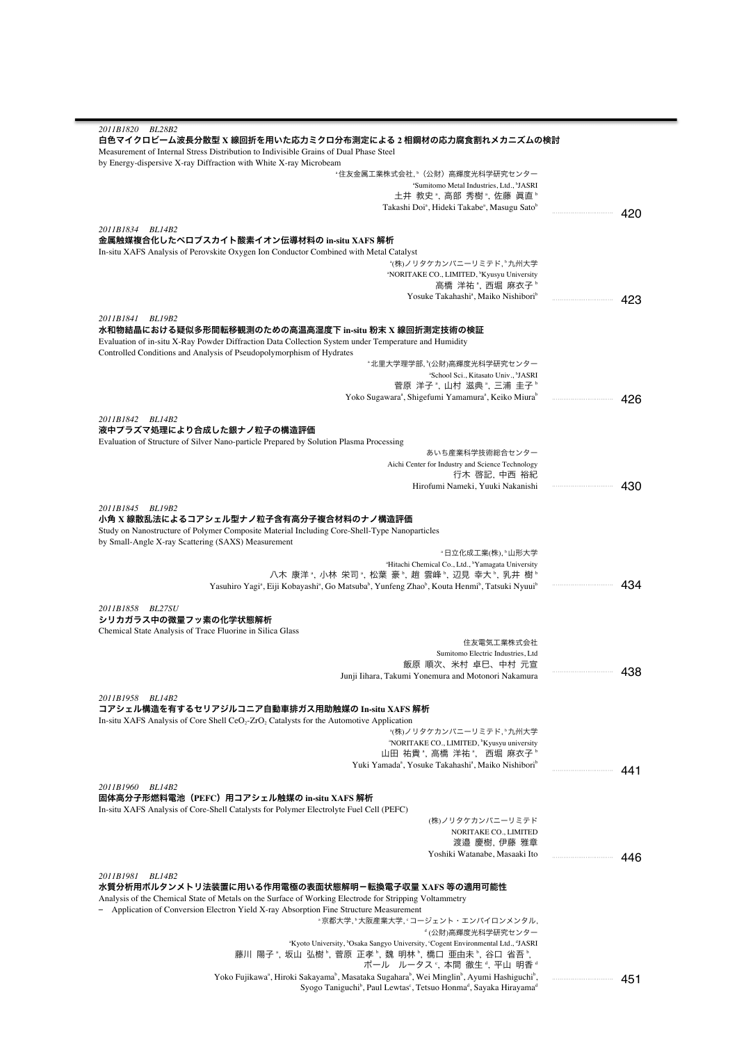| 2011B1820 BL28B2                                                                                                                                                       |         |
|------------------------------------------------------------------------------------------------------------------------------------------------------------------------|---------|
| 白色マイクロビーム波長分散型 X 線回折を用いた応力ミクロ分布測定による 2 相鋼材の応力腐食割れメカニズムの検討                                                                                                              |         |
| Measurement of Internal Stress Distribution to Indivisible Grains of Dual Phase Steel                                                                                  |         |
| by Energy-dispersive X-ray Diffraction with White X-ray Microbeam<br>"住友金属工業株式会社,"(公財)高輝度光科学研究センター                                                                     |         |
| <sup>a</sup> Sumitomo Metal Industries, Ltd., <sup>b</sup> JASRI                                                                                                       |         |
| 土井 教史 , 高部 秀樹 , 佐藤 眞直 ゚                                                                                                                                                |         |
| Takashi Doi <sup>ª</sup> , Hideki Takabe <sup>ª</sup> , Masugu Sato <sup>b</sup>                                                                                       | 420     |
|                                                                                                                                                                        |         |
| 2011B1834 BL14B2                                                                                                                                                       |         |
| 金属触媒複合化したペロブスカイト酸素イオン伝導材料の in-situ XAFS 解析<br>In-situ XAFS Analysis of Perovskite Oxygen Ion Conductor Combined with Metal Catalyst                                    |         |
| <b>『(株)ノリタケカンパニーリミテド, 『九州大学</b>                                                                                                                                        |         |
| <sup>a</sup> NORITAKE CO., LIMITED, <sup>b</sup> Kyusyu University                                                                                                     |         |
| 高橋 洋祐 "、西堀 麻衣子 "                                                                                                                                                       |         |
| Yosuke Takahashi <sup>a</sup> , Maiko Nishibori <sup>b</sup>                                                                                                           | <br>423 |
|                                                                                                                                                                        |         |
| 2011B1841 BL19B2<br>水和物結晶における疑似多形間転移観測のための高温高湿度下 in-situ 粉末 X 線回折測定技術の検証                                                                                               |         |
| Evaluation of in-situ X-Ray Powder Diffraction Data Collection System under Temperature and Humidity                                                                   |         |
| Controlled Conditions and Analysis of Pseudopolymorphism of Hydrates                                                                                                   |         |
| <sup></sup> 北里大学理学部, ʰ(公財)高輝度光科学研究センター                                                                                                                                 |         |
| "School Sci., Kitasato Univ., "JASRI                                                                                                                                   |         |
| 菅原 洋子 ゚, 山村 滋典 ゚, 三浦 圭子 ゚                                                                                                                                              |         |
| Yoko Sugawara <sup>ª</sup> , Shigefumi Yamamura <sup>ª</sup> , Keiko Miura <sup>b</sup>                                                                                | 426     |
| 2011B1842 BL14B2                                                                                                                                                       |         |
| 液中プラズマ処理により合成した銀ナノ粒子の構造評価                                                                                                                                              |         |
| Evaluation of Structure of Silver Nano-particle Prepared by Solution Plasma Processing                                                                                 |         |
| あいち産業科学技術総合センター                                                                                                                                                        |         |
| Aichi Center for Industry and Science Technology                                                                                                                       |         |
| 行木 啓記, 中西 裕紀                                                                                                                                                           |         |
| Hirofumi Nameki, Yuuki Nakanishi                                                                                                                                       |         |
| 2011B1845 BL19B2                                                                                                                                                       |         |
| 小角 X 線散乱法によるコアシェル型ナノ粒子含有高分子複合材料のナノ構造評価                                                                                                                                 |         |
| Study on Nanostructure of Polymer Composite Material Including Core-Shell-Type Nanoparticles                                                                           |         |
| by Small-Angle X-ray Scattering (SAXS) Measurement                                                                                                                     |         |
| "日立化成工業(株), "山形大学                                                                                                                                                      |         |
| <sup>a</sup> Hitachi Chemical Co., Ltd., <sup>b</sup> Yamagata University<br>八木 康洋 ", 小林 栄司 ", 松葉 豪 ", 趙 雲峰 ", 辺見 幸大 ", 乳井 樹 "                                         |         |
| Yasuhiro Yagi <sup>a</sup> , Eiji Kobayashi <sup>a</sup> , Go Matsuba <sup>b</sup> , Yunfeng Zhao <sup>b</sup> , Kouta Henmi <sup>b</sup> , Tatsuki Nyuui <sup>b</sup> | <br>434 |
|                                                                                                                                                                        |         |
| 2011B1858 BL27SU                                                                                                                                                       |         |
| シリカガラス中の微量フッ素の化学状態解析                                                                                                                                                   |         |
| Chemical State Analysis of Trace Fluorine in Silica Glass<br>住友電気工業株式会社                                                                                                |         |
| Sumitomo Electric Industries, Ltd                                                                                                                                      |         |
| 飯原 順次、米村 卓巳、中村 元宣                                                                                                                                                      |         |
| Junji Iihara, Takumi Yonemura and Motonori Nakamura                                                                                                                    |         |
|                                                                                                                                                                        |         |
| 2011B1958 BL14B2<br>コアシェル構造を有するセリアジルコニア自動車排ガス用助触媒の In-situ XAFS 解析                                                                                                     |         |
| In-situ XAFS Analysis of Core Shell CeO <sub>2</sub> -ZrO <sub>2</sub> Catalysts for the Automotive Application                                                        |         |
| *(株)ノリタケカンパニーリミテド, *九州大学                                                                                                                                               |         |
| "NORITAKE CO., LIMITED, "Kyusyu university                                                                                                                             |         |
| 山田 祐貴 ",高橋 洋祐 ", 西堀 麻衣子 "                                                                                                                                              |         |
| Yuki Yamada <sup>a</sup> , Yosuke Takahashi <sup>a</sup> , Maiko Nishibori <sup>b</sup>                                                                                | <br>441 |
|                                                                                                                                                                        |         |
| 2011B1960 BL14B2<br>固体高分子形燃料電池(PEFC)用コアシェル触媒の in-situ XAFS 解析                                                                                                          |         |
| In-situ XAFS Analysis of Core-Shell Catalysts for Polymer Electrolyte Fuel Cell (PEFC)                                                                                 |         |
| (株)ノリタケカンパニーリミテド                                                                                                                                                       |         |
| NORITAKE CO., LIMITED                                                                                                                                                  |         |
| 渡邉 慶樹, 伊藤 雅章                                                                                                                                                           |         |
| Yoshiki Watanabe, Masaaki Ito                                                                                                                                          | 446     |
| 2011B1981 BL14B2                                                                                                                                                       |         |
| 水質分析用ボルタンメトリ法装置に用いる作用電極の表面状態解明-転換電子収量 XAFS 等の適用可能性                                                                                                                     |         |
| Analysis of the Chemical State of Metals on the Surface of Working Electrode for Stripping Voltammetry                                                                 |         |
| - Application of Conversion Electron Yield X-ray Absorption Fine Structure Measurement                                                                                 |         |
| "京都大学, <sup></sup> '大阪産業大学, 'コージェント・エンバイロンメンタル,                                                                                                                        |         |
| <sup>。</sup> (公財)高輝度光科学研究センター                                                                                                                                          |         |
| "Kyoto University, "Osaka Sangyo University, 'Cogent Environmental Ltd., "JASRI                                                                                        |         |
| 藤川 陽子 ゚, 坂山 弘樹 ゚, 菅原 正孝 ゚, 魏 明林 ゚, 橋口 亜由未 ゚, 谷口 省吾 ゚,<br>ポール ルータス ゚, 本間 徹生 ゚, 平山 明香 ゚                                                                                  |         |
| Yoko Fujikawa <sup>a</sup> , Hiroki Sakayama <sup>b</sup> , Masataka Sugahara <sup>b</sup> , Wei Minglin <sup>b</sup> , Ayumi Hashiguchi <sup>b</sup> ,                | 451     |
| Syogo Taniguchi <sup>b</sup> , Paul Lewtas <sup>c</sup> , Tetsuo Honma <sup>d</sup> , Sayaka Hirayama <sup>d</sup>                                                     |         |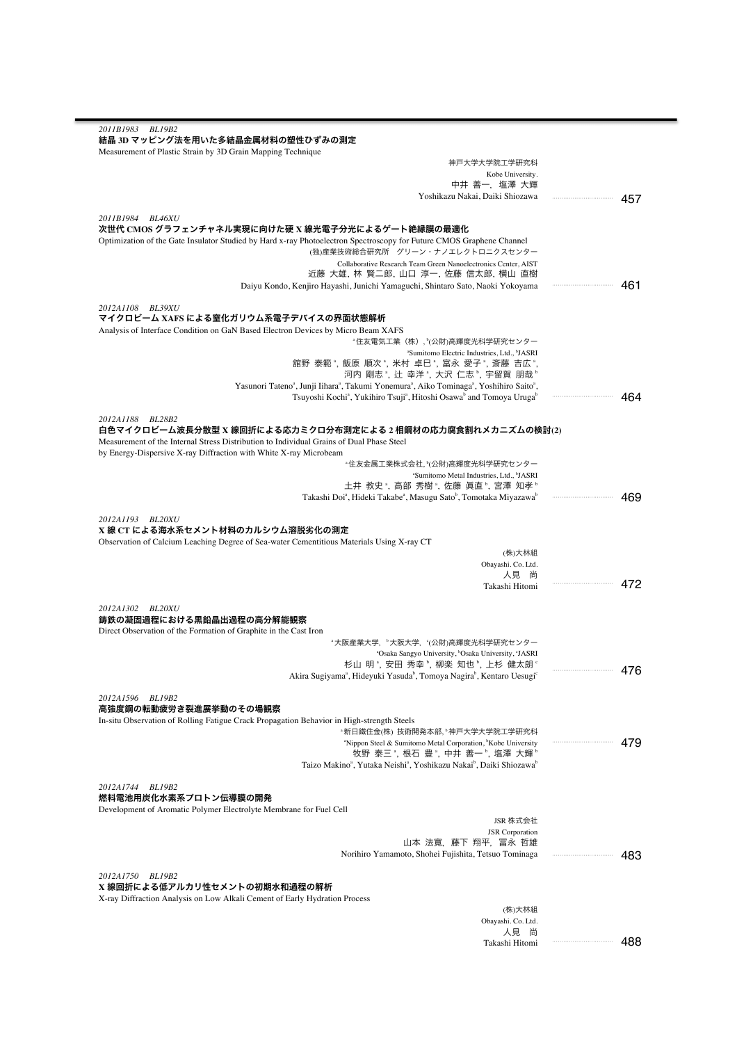| 2011B1983 BL19B2                                                                                                                                         |         |
|----------------------------------------------------------------------------------------------------------------------------------------------------------|---------|
| 結晶 3D マッピング法を用いた多結晶金属材料の塑性ひずみの測定                                                                                                                         |         |
|                                                                                                                                                          |         |
| Measurement of Plastic Strain by 3D Grain Mapping Technique                                                                                              |         |
| 神戸大学大学院工学研究科                                                                                                                                             |         |
| Kobe University.<br>中井 善一,塩澤 大輝                                                                                                                          |         |
|                                                                                                                                                          |         |
| Yoshikazu Nakai, Daiki Shiozawa                                                                                                                          | 457     |
|                                                                                                                                                          |         |
| 2011B1984 BL46XU<br>次世代 CMOS グラフェンチャネル実現に向けた硬 X 線光電子分光によるゲート絶縁膜の最適化                                                                                      |         |
|                                                                                                                                                          |         |
| Optimization of the Gate Insulator Studied by Hard x-ray Photoelectron Spectroscopy for Future CMOS Graphene Channel<br>(独)産業技術総合研究所 グリーン・ナノエレクトロニクスセンター |         |
|                                                                                                                                                          |         |
| Collaborative Research Team Green Nanoelectronics Center, AIST<br>近藤 大雄, 林 賢二郎, 山口 淳一, 佐藤 信太郎, 横山 直樹                                                     |         |
| Daiyu Kondo, Kenjiro Hayashi, Junichi Yamaguchi, Shintaro Sato, Naoki Yokoyama                                                                           | 461     |
|                                                                                                                                                          |         |
| 2012A1108 BL39XU                                                                                                                                         |         |
| マイクロビーム XAFS による窒化ガリウム系電子デバイスの界面状態解析                                                                                                                     |         |
| Analysis of Interface Condition on GaN Based Electron Devices by Micro Beam XAFS                                                                         |         |
| ◦住友電気工業(株), ʰ(公財)高輝度光科学研究センター                                                                                                                            |         |
| "Sumitomo Electric Industries, Ltd., "JASRI                                                                                                              |         |
| 舘野 泰範 ª, 飯原 順次 ª, 米村 卓巳 ª, 富永 愛子 ª, 斎藤 吉広 ª,                                                                                                             |         |
| 河内 剛志 *, 辻 幸洋 *, 大沢 仁志 *, 宇留賀 朋哉 *                                                                                                                       |         |
| Yasunori Tateno <sup>a</sup> , Junji Iihara <sup>a</sup> , Takumi Yonemura <sup>a</sup> , Aiko Tominaga <sup>a</sup> , Yoshihiro Saito <sup>a</sup> ,    |         |
| Tsuyoshi Kochi <sup>a</sup> , Yukihiro Tsuji <sup>a</sup> , Hitoshi Osawa <sup>b</sup> and Tomoya Uruga <sup>b</sup>                                     | 464<br> |
|                                                                                                                                                          |         |
| 2012A1188 BL28B2                                                                                                                                         |         |
| 白色マイクロビーム波長分散型 X 線回折による応力ミクロ分布測定による 2 相鋼材の応力腐食割れメカニズムの検討(2)                                                                                              |         |
| Measurement of the Internal Stress Distribution to Individual Grains of Dual Phase Steel                                                                 |         |
| by Energy-Dispersive X-ray Diffraction with White X-ray Microbeam                                                                                        |         |
| "住友金属工業株式会社、"(公財)高輝度光科学研究センター                                                                                                                            |         |
| <sup>a</sup> Sumitomo Metal Industries, Ltd., <sup>b</sup> JASRI                                                                                         |         |
| 土井 教史 ゚,高部 秀樹 ゚,佐藤 眞直 ゚,宮澤 知孝 ゚                                                                                                                          |         |
| Takashi Doi <sup>a</sup> , Hideki Takabe <sup>a</sup> , Masugu Sato <sup>b</sup> , Tomotaka Miyazawa <sup>b</sup>                                        | 469     |
|                                                                                                                                                          |         |
| 2012A1193 BL20XU                                                                                                                                         |         |
| X 線 CT による海水系セメント材料のカルシウム溶脱劣化の測定                                                                                                                         |         |
| Observation of Calcium Leaching Degree of Sea-water Cementitious Materials Using X-ray CT                                                                |         |
| (株)大林組                                                                                                                                                   |         |
| Obayashi. Co. Ltd.                                                                                                                                       |         |
| 人見 尚                                                                                                                                                     |         |
| Takashi Hitomi                                                                                                                                           | 472     |
|                                                                                                                                                          |         |
| 2012A1302 BL20XU                                                                                                                                         |         |
| 鋳鉄の凝固過程における黒鉛晶出過程の高分解能観察                                                                                                                                 |         |
| Direct Observation of the Formation of Graphite in the Cast Iron                                                                                         |         |
| "大阪産業大学, "大阪大学, "(公財)高輝度光科学研究センター                                                                                                                        |         |
| <sup>a</sup> Osaka Sangyo University, <sup>b</sup> Osaka University, <sup>c</sup> JASRI                                                                  |         |
| 杉山 明 <sup>。</sup> , 安田 秀幸 <sup>。</sup> , 柳楽 知也 <sup>。</sup> , 上杉 健太朗 <sup>。</sup>                                                                        |         |
| Akira Sugiyama <sup>ª</sup> , Hideyuki Yasuda <sup>b</sup> , Tomoya Nagira <sup>b</sup> , Kentaro Uesugi <sup>c</sup>                                    |         |
|                                                                                                                                                          |         |
| 2012A1596 BL19B2                                                                                                                                         |         |
| 高強度鋼の転動疲労き裂進展挙動のその場観察                                                                                                                                    |         |
| In-situ Observation of Rolling Fatigue Crack Propagation Behavior in High-strength Steels                                                                |         |
| "新日鐵住金(株) 技術開発本部,"神戸大学大学院工学研究科                                                                                                                           |         |
| "Nippon Steel & Sumitomo Metal Corporation, "Kobe University                                                                                             | 479     |
| 牧野 泰三 ª, 根石 豊 ª, 中井 善一 ª, 塩澤 大輝 ª                                                                                                                        |         |
| Taizo Makino <sup>a</sup> , Yutaka Neishi <sup>a</sup> , Yoshikazu Nakai <sup>b</sup> , Daiki Shiozawa <sup>b</sup>                                      |         |
|                                                                                                                                                          |         |
| 2012A1744 BL19B2                                                                                                                                         |         |
| 燃料電池用炭化水素系プロトン伝導膜の開発                                                                                                                                     |         |
| Development of Aromatic Polymer Electrolyte Membrane for Fuel Cell                                                                                       |         |
| JSR 株式会社                                                                                                                                                 |         |
| <b>JSR</b> Corporation                                                                                                                                   |         |
| 山本 法寛,藤下 翔平,冨永 哲雄                                                                                                                                        |         |
| Norihiro Yamamoto, Shohei Fujishita, Tetsuo Tominaga                                                                                                     | 483     |
|                                                                                                                                                          |         |
|                                                                                                                                                          |         |
| 2012A1750 BL19B2                                                                                                                                         |         |
|                                                                                                                                                          |         |
|                                                                                                                                                          |         |
| (株)大林組                                                                                                                                                   |         |
| Obayashi. Co. Ltd.                                                                                                                                       |         |
| X 線回折による低アルカリ性セメントの初期水和過程の解析<br>X-ray Diffraction Analysis on Low Alkali Cement of Early Hydration Process<br>人見 尚                                       |         |

Takashi Hitomi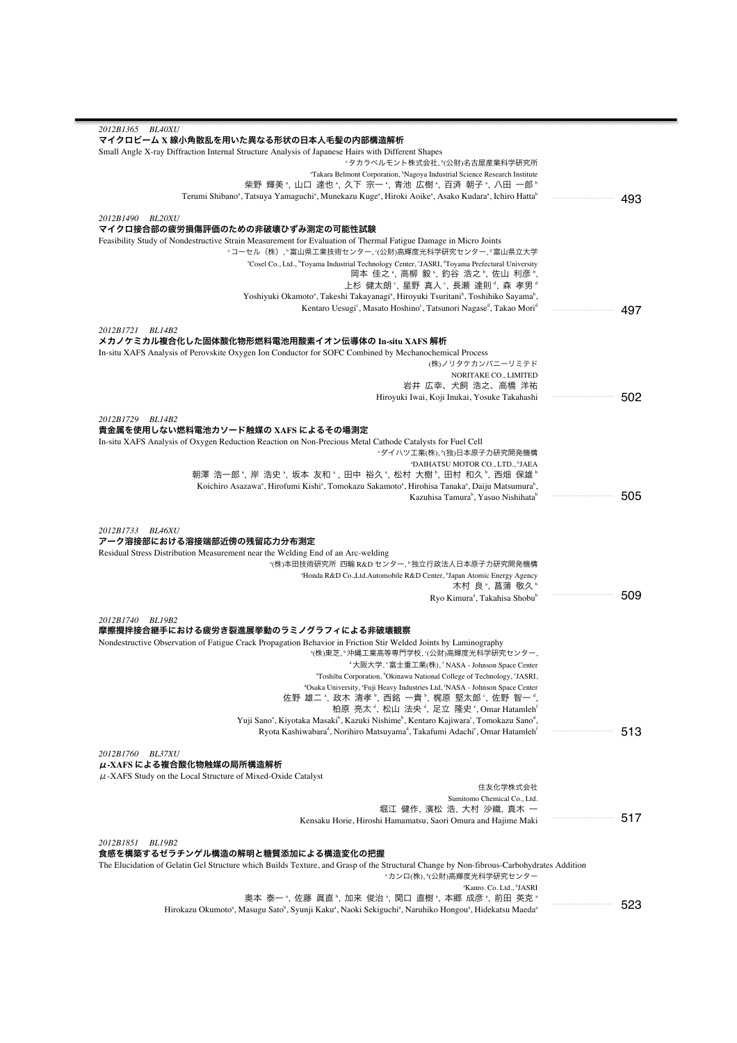| 2012B1365 BL40XU                                                                                                                                                                                                                                           |     |
|------------------------------------------------------------------------------------------------------------------------------------------------------------------------------------------------------------------------------------------------------------|-----|
| マイクロビーム X 線小角散乱を用いた異なる形状の日本人毛髪の内部構造解析                                                                                                                                                                                                                      |     |
| Small Angle X-ray Diffraction Internal Structure Analysis of Japanese Hairs with Different Shapes<br>*タカラベルモント株式会社, *(公財)名古屋産業科学研究所                                                                                                                        |     |
| "Takara Belmont Corporation, <sup>b</sup> Nagoya Industrial Science Research Institute                                                                                                                                                                     |     |
| 柴野 輝美 ",山口 達也 ",久下 宗一 ",青池 広樹 ",百済 朝子 ",八田 一郎 "                                                                                                                                                                                                            |     |
| Terumi Shibano <sup>a</sup> , Tatsuya Yamaguchi <sup>a</sup> , Munekazu Kuge <sup>a</sup> , Hiroki Aoike <sup>a</sup> , Asako Kudara <sup>a</sup> , Ichiro Hatta <sup>b</sup>                                                                              | 493 |
|                                                                                                                                                                                                                                                            |     |
| 2012B1490 BL20XU<br>マイクロ接合部の疲労損傷評価のための非破壊ひずみ測定の可能性試験                                                                                                                                                                                                       |     |
| Feasibility Study of Nondestructive Strain Measurement for Evaluation of Thermal Fatigue Damage in Micro Joints                                                                                                                                            |     |
| <sub>"</sub> コーセル(株), 『富山県工業技術センター, <sub>〔</sub> 公財)高輝度光科学研究センター, 『富山県立大学                                                                                                                                                                                  |     |
| "Cosel Co., Ltd., "Toyama Industrial Technology Center, 'JASRI, "Toyama Prefectural University                                                                                                                                                             |     |
| 岡本 佳之*, 高柳 毅*, 釣谷 浩之*, 佐山 利彦*,                                                                                                                                                                                                                             |     |
| 上杉 健太朗°,星野 真人°,長瀬 達則°,森 孝男°<br>Yoshiyuki Okamoto <sup>a</sup> , Takeshi Takayanagi <sup>a</sup> , Hiroyuki Tsuritani <sup>b</sup> , Toshihiko Sayama <sup>b</sup> ,                                                                                        |     |
| Kentaro Uesugi <sup>c</sup> , Masato Hoshino <sup>c</sup> , Tatsunori Nagase <sup>d</sup> , Takao Mori <sup>d</sup>                                                                                                                                        | 497 |
|                                                                                                                                                                                                                                                            |     |
| 2012B1721 BL14B2                                                                                                                                                                                                                                           |     |
| メカノケミカル複合化した固体酸化物形燃料電池用酸素イオン伝導体の In-situ XAFS 解析                                                                                                                                                                                                           |     |
| In-situ XAFS Analysis of Perovskite Oxygen Ion Conductor for SOFC Combined by Mechanochemical Process<br>(株)ノリタケカンパニーリミテド                                                                                                                                  |     |
| NORITAKE CO., LIMITED                                                                                                                                                                                                                                      |     |
| 岩井 広幸、犬飼 浩之、高橋 洋祐                                                                                                                                                                                                                                          |     |
| Hiroyuki Iwai, Koji Inukai, Yosuke Takahashi                                                                                                                                                                                                               | 502 |
|                                                                                                                                                                                                                                                            |     |
| 2012B1729 BL14B2<br>貴金属を使用しない燃料電池カソード触媒の XAFS によるその場測定                                                                                                                                                                                                     |     |
| In-situ XAFS Analysis of Oxygen Reduction Reaction on Non-Precious Metal Cathode Catalysts for Fuel Cell                                                                                                                                                   |     |
| ■ダイハツ工業(株)、『(独)日本原子力研究開発機構                                                                                                                                                                                                                                 |     |
| "DAIHATSU MOTOR CO., LTD., <sup>b</sup> JAEA                                                                                                                                                                                                               |     |
| 朝澤 浩一郎 ゚, 岸 浩史 ゚, 坂本 友和 ゚, 田中 裕久 ゚, 松村 大樹 ゚, 田村 和久 ゚, 西畑 保雄 ゚                                                                                                                                                                                              |     |
| Koichiro Asazawa <sup>a</sup> , Hirofumi Kishi <sup>a</sup> , Tomokazu Sakamoto <sup>a</sup> , Hirohisa Tanaka <sup>a</sup> , Daiju Matsumura <sup>b</sup> ,<br><br>Kazuhisa Tamura <sup>b</sup> , Yasuo Nishihata <sup>b</sup>                            | 505 |
|                                                                                                                                                                                                                                                            |     |
| 2012B1733 BL46XU<br>アーク溶接部における溶接端部近傍の残留応力分布測定<br>Residual Stress Distribution Measurement near the Welding End of an Arc-welding<br>*(株)本田技術研究所 四輪 R&D センター, ʰ独立行政法人日本原子力研究開発機構<br>"Honda R&D Co., Ltd. Automobile R&D Center, "Japan Atomic Energy Agency |     |
| 木村 良 ి, 菖蒲 敬久 ષ<br>Ryo Kimura <sup>ª</sup> , Takahisa Shobu <sup>b</sup>                                                                                                                                                                                   | 509 |
|                                                                                                                                                                                                                                                            |     |
| 2012B1740 BL19B2                                                                                                                                                                                                                                           |     |
| 摩擦攪拌接合継手における疲労き裂進展挙動のラミノグラフィによる非破壊観察                                                                                                                                                                                                                       |     |
| Nondestructive Observation of Fatigue Crack Propagation Behavior in Friction Stir Welded Joints by Laminography<br>*(株)東芝, ʰ沖縄工業高等専門学校, ˤ(公財)高輝度光科学研究センター,<br>"大阪大学, "富士重工業(株), 'NASA - Johnson Space Center                                               |     |
|                                                                                                                                                                                                                                                            |     |
| "Toshiba Corporation, 'Okinawa National College of Technology, 'JASRI                                                                                                                                                                                      |     |
| <sup>d</sup> Osaka University, 'Fuji Heavy Industries Ltd, <sup>f</sup> NASA - Johnson Space Center                                                                                                                                                        |     |
| 佐野 雄二 *, 政木 清孝 *, 西銘 一貴 *, 梶原 堅太郎 *, 佐野 智一 *                                                                                                                                                                                                               |     |
| 柏原 亮太 <sup>。</sup> , 松山 法央 <sup>。</sup> , 足立 隆史 °, Omar Hatamleh <sup>f</sup>                                                                                                                                                                              |     |
| Yuji Sano <sup>a</sup> , Kiyotaka Masaki <sup>b</sup> , Kazuki Nishime <sup>b</sup> , Kentaro Kajiwara <sup>c</sup> , Tomokazu Sano <sup>d</sup> ,<br>                                                                                                     |     |
| Ryota Kashiwabara <sup>d</sup> , Norihiro Matsuyama <sup>d</sup> , Takafumi Adachi <sup>e</sup> , Omar Hatamleh <sup>f</sup>                                                                                                                               | 513 |
| 2012B1760 BL37XU<br>μ-XAFS による複合酸化物触媒の局所構造解析                                                                                                                                                                                                               |     |
| $\mu$ -XAFS Study on the Local Structure of Mixed-Oxide Catalyst                                                                                                                                                                                           |     |
| 住友化学株式会社<br>Sumitomo Chemical Co., Ltd.                                                                                                                                                                                                                    |     |
| 堀江 健作, 濱松 浩, 大村 沙織, 真木 一                                                                                                                                                                                                                                   |     |
| <br>Kensaku Horie, Hiroshi Hamamatsu, Saori Omura and Hajime Maki                                                                                                                                                                                          | 517 |
|                                                                                                                                                                                                                                                            |     |
| 2012B1851 BL19B2                                                                                                                                                                                                                                           |     |
| 食感を構築するゼラチンゲル構造の解明と糖質添加による構造変化の把握<br>The Elucidation of Gelatin Gel Structure which Builds Texture, and Grasp of the Structural Change by Non-fibrous-Carbohydrates Addition                                                                               |     |
| "カンロ(株), "(公財)高輝度光科学研究センター                                                                                                                                                                                                                                 |     |
| <sup>a</sup> Kanro. Co. Ltd., <sup>b</sup> JASRI                                                                                                                                                                                                           |     |
| 奥本 泰一°,佐藤 眞直°,加来 俊治°,関口 直樹°,本郷 成彦°,前田 英克°<br>Hirokazu Okumoto <sup>a</sup> , Masugu Sato <sup>b</sup> , Syunji Kaku <sup>a</sup> , Naoki Sekiguchi <sup>a</sup> , Naruhiko Hongou <sup>a</sup> , Hidekatsu Maeda <sup>a</sup>                              | 523 |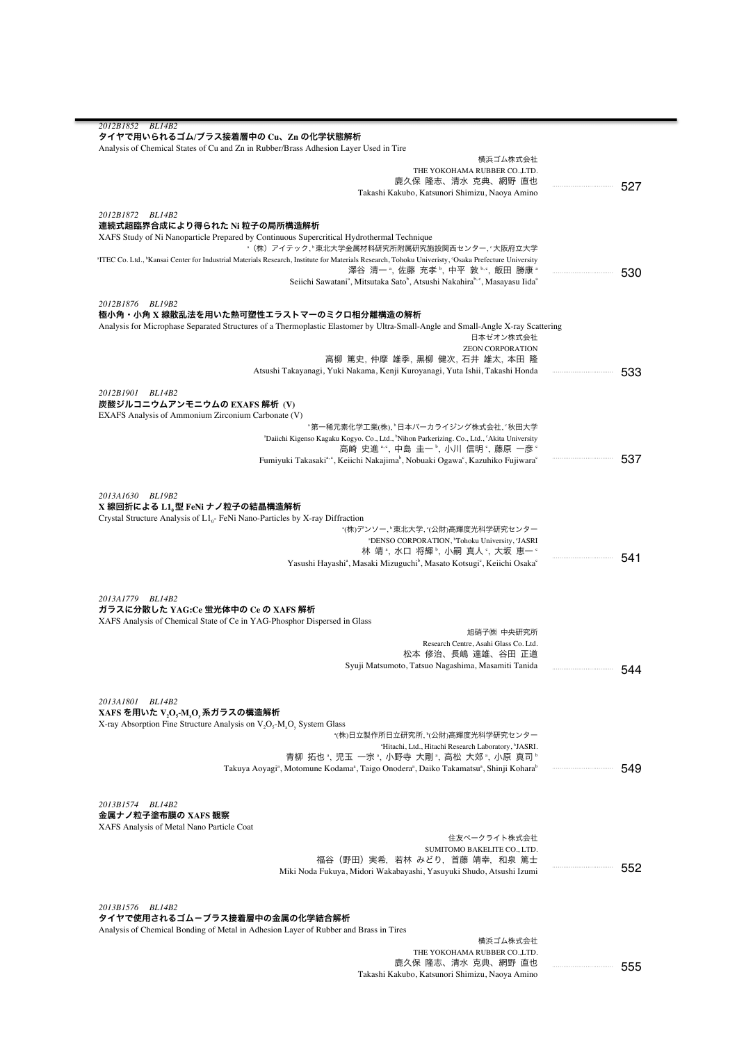| 2012B1852<br><i>BL14B2</i>                                                                                                                                                  |         |
|-----------------------------------------------------------------------------------------------------------------------------------------------------------------------------|---------|
| タイヤで用いられるゴム/ブラス接着層中の Cu、Zn の化学状態解析                                                                                                                                          |         |
| Analysis of Chemical States of Cu and Zn in Rubber/Brass Adhesion Layer Used in Tire                                                                                        |         |
| 横浜ゴム株式会社                                                                                                                                                                    |         |
| THE YOKOHAMA RUBBER CO.,LTD.                                                                                                                                                |         |
| 鹿久保 隆志、清水 克典、網野 直也                                                                                                                                                          | 527     |
| Takashi Kakubo, Katsunori Shimizu, Naoya Amino                                                                                                                              |         |
| 2012B1872 BL14B2                                                                                                                                                            |         |
| 連続式超臨界合成により得られた Ni 粒子の局所構造解析                                                                                                                                                |         |
| XAFS Study of Ni Nanoparticle Prepared by Continuous Supercritical Hydrothermal Technique                                                                                   |         |
| * (株) アイテック, *東北大学金属材料研究所附属研究施設関西センター, *大阪府立大学                                                                                                                              |         |
| <sup>a</sup> ITEC Co. Ltd., <sup>b</sup> Kansai Center for Industrial Materials Research, Institute for Materials Research, Tohoku University, 'Osaka Prefecture University |         |
| 澤谷 清一 "、佐藤 充孝 "、中平 敦 "、飯田 勝康 "                                                                                                                                              | 530     |
| Seiichi Sawatani <sup>a</sup> , Mitsutaka Sato <sup>b</sup> , Atsushi Nakahira <sup>b, c</sup> , Masayasu Iida <sup>a</sup>                                                 |         |
|                                                                                                                                                                             |         |
| 2012B1876 BL19B2                                                                                                                                                            |         |
| 極小角・小角 X 線散乱法を用いた熱可塑性エラストマーのミクロ相分離構造の解析                                                                                                                                     |         |
| Analysis for Microphase Separated Structures of a Thermoplastic Elastomer by Ultra-Small-Angle and Small-Angle X-ray Scattering                                             |         |
| 日本ゼオン株式会社                                                                                                                                                                   |         |
| <b>ZEON CORPORATION</b>                                                                                                                                                     |         |
| 高柳 篤史, 仲摩 雄季, 黒柳 健次, 石井 雄太, 本田 隆                                                                                                                                            |         |
| Atsushi Takayanagi, Yuki Nakama, Kenji Kuroyanagi, Yuta Ishii, Takashi Honda                                                                                                | <br>533 |
|                                                                                                                                                                             |         |
| 2012B1901 BL14B2                                                                                                                                                            |         |
| 炭酸ジルコニウムアンモニウムの EXAFS 解析(V)                                                                                                                                                 |         |
| EXAFS Analysis of Ammonium Zirconium Carbonate (V)<br>"第一稀元素化学工業(株)、"日本パーカライジング株式会社、"秋田大学                                                                                   |         |
| "Daiichi Kigenso Kagaku Kogyo. Co., Ltd., "Nihon Parkerizing. Co., Ltd., "Akita University                                                                                  |         |
| 高崎 史進 *·°, 中島 圭一 <sup>b</sup> , 小川 信明 °, 藤原 一彦 °                                                                                                                            |         |
| Fumiyuki Takasaki <sup>a, c</sup> , Keiichi Nakajima <sup>b</sup> , Nobuaki Ogawa <sup>c</sup> , Kazuhiko Fujiwara <sup>c</sup>                                             | <br>537 |
|                                                                                                                                                                             |         |
|                                                                                                                                                                             |         |
| 2013A1630 BL19B2                                                                                                                                                            |         |
| X 線回折による L1。型 FeNi ナノ粒子の結晶構造解析                                                                                                                                              |         |
| Crystal Structure Analysis of $L1_0$ - FeNi Nano-Particles by X-ray Diffraction                                                                                             |         |
| "(株)デンソー, 『東北大学, "(公財)高輝度光科学研究センター                                                                                                                                          |         |
| "DENSO CORPORATION, <sup>b</sup> Tohoku University, 'JASRI                                                                                                                  |         |
| 林 靖 <sup>。</sup> , 水口 将輝 <sup>。</sup> , 小嗣 真人 <sup>。</sup> , 大坂 恵一 <sup>。</sup>                                                                                             |         |
| Yasushi Hayashi <sup>a</sup> , Masaki Mizuguchi <sup>b</sup> , Masato Kotsugi <sup>c</sup> , Keiichi Osaka <sup>c</sup>                                                     | 541<br> |
|                                                                                                                                                                             |         |
|                                                                                                                                                                             |         |
| 2013A1779 BL14B2                                                                                                                                                            |         |
| ガラスに分散した YAG:Ce 蛍光体中の Ce の XAFS 解析                                                                                                                                          |         |
| XAFS Analysis of Chemical State of Ce in YAG-Phosphor Dispersed in Glass                                                                                                    |         |
| 旭硝子㈱ 中央研究所                                                                                                                                                                  |         |
| Research Centre, Asahi Glass Co. Ltd.                                                                                                                                       |         |
| 松本 修治、長嶋 達雄、谷田 正道                                                                                                                                                           |         |
| Syuji Matsumoto, Tatsuo Nagashima, Masamiti Tanida                                                                                                                          | 544     |
|                                                                                                                                                                             |         |
|                                                                                                                                                                             |         |
| 2013A1801 BL14B2                                                                                                                                                            |         |
| XAFS を用いた V,O,-M,O, 系ガラスの構造解析                                                                                                                                               |         |
| X-ray Absorption Fine Structure Analysis on $V_2O_5$ - $M_xO_y$ System Glass                                                                                                |         |
| *(株)日立製作所日立研究所, *(公財)高輝度光科学研究センター                                                                                                                                           |         |
| "Hitachi, Ltd., Hitachi Research Laboratory, <sup>b</sup> JASRI.<br>青柳 拓也", 児玉 一宗", 小野寺 大剛", 高松 大郊", 小原 真司"                                                                 |         |
| Takuya Aoyagi <sup>a</sup> , Motomune Kodama <sup>a</sup> , Taigo Onodera <sup>a</sup> , Daiko Takamatsu <sup>a</sup> , Shinji Kohara <sup>b</sup>                          | <br>549 |
|                                                                                                                                                                             |         |
|                                                                                                                                                                             |         |
| 2013B1574 BL14B2                                                                                                                                                            |         |
| 金属ナノ粒子塗布膜の XAFS 観察                                                                                                                                                          |         |
|                                                                                                                                                                             |         |
| XAFS Analysis of Metal Nano Particle Coat<br>住友ベークライト株式会社                                                                                                                   |         |
| SUMITOMO BAKELITE CO., LTD.                                                                                                                                                 |         |
| 福谷(野田)実希,若林 みどり,首藤 靖幸,和泉 篤士                                                                                                                                                 |         |
| Miki Noda Fukuya, Midori Wakabayashi, Yasuyuki Shudo, Atsushi Izumi                                                                                                         | 552     |
|                                                                                                                                                                             |         |
|                                                                                                                                                                             |         |
| 2013B1576 BL14B2                                                                                                                                                            |         |
| タイヤで使用されるゴムーブラス接着層中の金属の化学結合解析                                                                                                                                               |         |
| Analysis of Chemical Bonding of Metal in Adhesion Layer of Rubber and Brass in Tires                                                                                        |         |
| 横浜ゴム株式会社                                                                                                                                                                    |         |
| THE YOKOHAMA RUBBER CO.,LTD.                                                                                                                                                |         |
| 鹿久保 隆志、清水 克典、網野 直也                                                                                                                                                          | 555     |
| Takashi Kakubo, Katsunori Shimizu, Naoya Amino                                                                                                                              |         |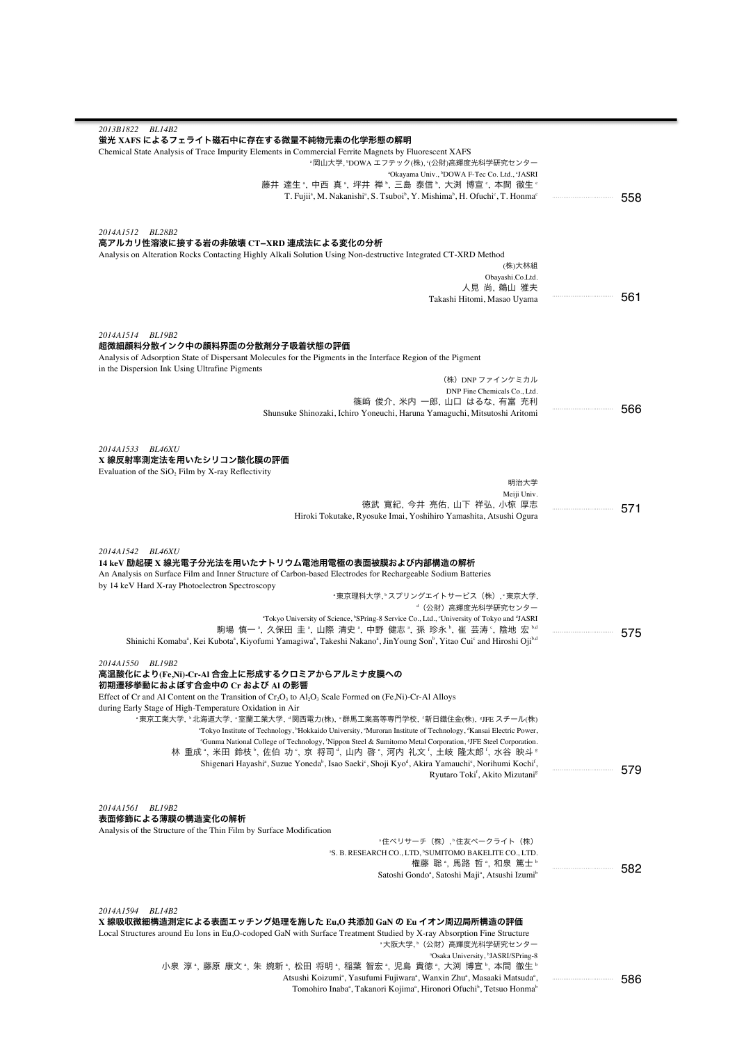| 2013B1822 BL14B2                                                                                                                                                                                                                                  |         |
|---------------------------------------------------------------------------------------------------------------------------------------------------------------------------------------------------------------------------------------------------|---------|
| 蛍光 XAFS によるフェライト磁石中に存在する微量不純物元素の化学形態の解明                                                                                                                                                                                                           |         |
| Chemical State Analysis of Trace Impurity Elements in Commercial Ferrite Magnets by Fluorescent XAFS<br>"岡山大学, "DOWA エフテック(株), "(公財)高輝度光科学研究センター                                                                                                  |         |
| "Okayama Univ., "DOWA F-Tec Co. Ltd., "JASRI                                                                                                                                                                                                      |         |
| 藤井 達生 ª, 中西 真 ª, 坪井 禅 º, 三島 泰信 º, 大渕 博宣 º, 本間 徹生 º                                                                                                                                                                                                |         |
| T. Fujii <sup>a</sup> , M. Nakanishi <sup>a</sup> , S. Tsuboi <sup>b</sup> , Y. Mishima <sup>b</sup> , H. Ofuchi <sup>c</sup> , T. Honma <sup>c</sup>                                                                                             | <br>558 |
|                                                                                                                                                                                                                                                   |         |
|                                                                                                                                                                                                                                                   |         |
| 2014A1512 BL28B2<br>高アルカリ性溶液に接する岩の非破壊 CT–XRD 連成法による変化の分析                                                                                                                                                                                          |         |
| Analysis on Alteration Rocks Contacting Highly Alkali Solution Using Non-destructive Integrated CT-XRD Method                                                                                                                                     |         |
| (株)大林組                                                                                                                                                                                                                                            |         |
| Obayashi.Co.Ltd.                                                                                                                                                                                                                                  |         |
| 人見 尚, 鵜山 雅夫<br>Takashi Hitomi, Masao Uyama                                                                                                                                                                                                        | 561     |
|                                                                                                                                                                                                                                                   |         |
|                                                                                                                                                                                                                                                   |         |
| 2014A1514 BL19B2                                                                                                                                                                                                                                  |         |
| 超微細顔料分散インク中の顔料界面の分散剤分子吸着状態の評価                                                                                                                                                                                                                     |         |
| Analysis of Adsorption State of Dispersant Molecules for the Pigments in the Interface Region of the Pigment<br>in the Dispersion Ink Using Ultrafine Pigments                                                                                    |         |
| (株)DNP ファインケミカル                                                                                                                                                                                                                                   |         |
| DNP Fine Chemicals Co., Ltd.                                                                                                                                                                                                                      |         |
| 篠﨑 俊介, 米内 一郎, 山口 はるな, 有富 充利                                                                                                                                                                                                                       | 566     |
| Shunsuke Shinozaki, Ichiro Yoneuchi, Haruna Yamaguchi, Mitsutoshi Aritomi                                                                                                                                                                         |         |
|                                                                                                                                                                                                                                                   |         |
| 2014A1533 BL46XU                                                                                                                                                                                                                                  |         |
| X 線反射率測定法を用いたシリコン酸化膜の評価                                                                                                                                                                                                                           |         |
| Evaluation of the $SiO2$ Film by X-ray Reflectivity                                                                                                                                                                                               |         |
| 明治大学                                                                                                                                                                                                                                              |         |
| Meiji Univ.<br>徳武 寛紀, 今井 亮佑, 山下 祥弘, 小椋 厚志                                                                                                                                                                                                         |         |
| Hiroki Tokutake, Ryosuke Imai, Yoshihiro Yamashita, Atsushi Ogura                                                                                                                                                                                 | 571     |
|                                                                                                                                                                                                                                                   |         |
|                                                                                                                                                                                                                                                   |         |
| 2014A1542 BL46XU<br>14 keV 励起硬 X 線光電子分光法を用いたナトリウム電池用電極の表面被膜および内部構造の解析                                                                                                                                                                             |         |
| An Analysis on Surface Film and Inner Structure of Carbon-based Electrodes for Rechargeable Sodium Batteries                                                                                                                                      |         |
| by 14 keV Hard X-ray Photoelectron Spectroscopy                                                                                                                                                                                                   |         |
| "東京理科大学,"スプリングエイトサービス(株),"東京大学,                                                                                                                                                                                                                   |         |
| <sup>。</sup> (公財)高輝度光科学研究センター                                                                                                                                                                                                                     |         |
| "Tokyo University of Science, "SPring-8 Service Co., Ltd., "University of Tokyo and "JASRI<br>駒場 慎一 ª, 久保田 圭 ª, 山際 清史 ª, 中野 健志 ª, 孫 珍永 º, 崔 芸涛 º, 陰地 宏 ʰ4                                                                                         |         |
| Shinichi Komaba <sup>a</sup> , Kei Kubota <sup>a</sup> , Kiyofumi Yamagiwa <sup>a</sup> , Takeshi Nakano <sup>a</sup> , JinYoung Son <sup>b</sup> , Yitao Cui <sup>c</sup> and Hiroshi Oji <sup>b.d</sup>                                         | 575     |
|                                                                                                                                                                                                                                                   |         |
| 2014A1550 BL19B2                                                                                                                                                                                                                                  |         |
| 高温酸化により(Fe,Ni)-Cr-Al 合金上に形成するクロミアからアルミナ皮膜への<br>初期遷移挙動におよぼす合金中の Cr および Al の影響                                                                                                                                                                      |         |
| Effect of Cr and Al Content on the Transition of $Cr_2O_3$ to Al, $O_3$ Scale Formed on (Fe, Ni)-Cr-Al Alloys                                                                                                                                     |         |
| during Early Stage of High-Temperature Oxidation in Air                                                                                                                                                                                           |         |
| "東京工業大学, "北海道大学, ' 室蘭工業大学, "関西電力(株), "群馬工業高等専門学校, '新日鐵住金(株), *JFE スチール(株)                                                                                                                                                                         |         |
| "Tokyo Institute of Technology, "Hokkaido University, "Muroran Institute of Technology, "Kansai Electric Power,<br>"Gunma National College of Technology, 'Nippon Steel & Sumitomo Metal Corporation, <sup>8</sup> JFE Steel Corporation.         |         |
| 林 重成", 米田 鈴枝", 佐伯 功°, 京 将司", 山内 啓°, 河内 礼文', 土岐 隆太郎', 水谷 映斗*                                                                                                                                                                                       |         |
| Shigenari Hayashi <sup>a</sup> , Suzue Yoneda <sup>b</sup> , Isao Saeki <sup>c</sup> , Shoji Kyo <sup>d</sup> , Akira Yamauchi <sup>c</sup> , Norihumi Kochi <sup>t</sup> ,                                                                       | 579     |
| Ryutaro Toki <sup>†</sup> , Akito Mizutani <sup>s</sup>                                                                                                                                                                                           |         |
|                                                                                                                                                                                                                                                   |         |
| 2014A1561<br><b>BL19B2</b>                                                                                                                                                                                                                        |         |
| 表面修飾による薄膜の構造変化の解析                                                                                                                                                                                                                                 |         |
| Analysis of the Structure of the Thin Film by Surface Modification                                                                                                                                                                                |         |
| "住ベリサーチ(株), <sup>。</sup> 住友ベークライト(株)<br><sup>a</sup> S. B. RESEARCH CO., LTD, <sup>b</sup> SUMITOMO BAKELITE CO., LTD.                                                                                                                            |         |
| 権藤 聡ª, 馬路 哲ª, 和泉 篤士º                                                                                                                                                                                                                              |         |
| Satoshi Gondo <sup>a</sup> , Satoshi Maji <sup>a</sup> , Atsushi Izumi <sup>b</sup>                                                                                                                                                               | 582     |
|                                                                                                                                                                                                                                                   |         |
|                                                                                                                                                                                                                                                   |         |
| 2014A1594<br><i>BL14B2</i><br>X 線吸収微細構造測定による表面エッチング処理を施した Eu,O 共添加 GaN の Eu イオン周辺局所構造の評価                                                                                                                                                          |         |
| Local Structures around Eu Ions in Eu, O-codoped GaN with Surface Treatment Studied by X-ray Absorption Fine Structure                                                                                                                            |         |
| *大阪大学,*(公財)高輝度光科学研究センター                                                                                                                                                                                                                           |         |
| <sup>a</sup> Osaka University, <sup>b</sup> JASRI/SPring-8                                                                                                                                                                                        |         |
| 小泉 淳", 藤原 康文", 朱 婉新", 松田 将明", 稲葉 智宏", 児島 貴徳", 大渕 博宣", 本間 徹生"                                                                                                                                                                                      |         |
| Atsushi Koizumi <sup>a</sup> , Yasufumi Fujiwara <sup>a</sup> , Wanxin Zhu <sup>a</sup> , Masaaki Matsuda <sup>a</sup> ,<br>Tomohiro Inaba <sup>a</sup> , Takanori Kojima <sup>a</sup> , Hironori Ofuchi <sup>b</sup> , Tetsuo Honma <sup>b</sup> | <br>586 |